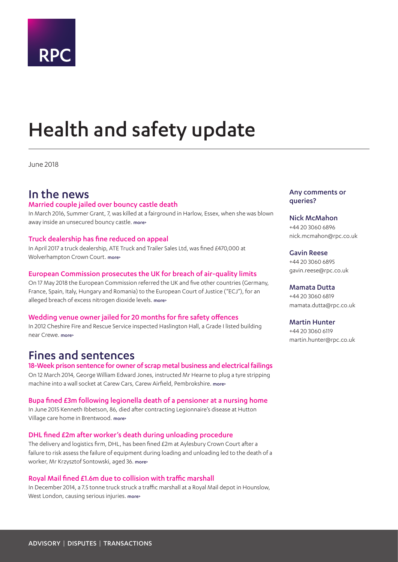

# <span id="page-0-0"></span>Health and safety update

June 2018

# In the news

### Married couple jailed over bouncy castle death

In March 2016, Summer Grant, 7, was killed at a fairground in Harlow, Essex, when she was blown away inside an unsecured bouncy castle. [more>](#page-2-0)

### Truck dealership has fine reduced on appeal

In April 2017 a truck dealership, ATE Truck and Trailer Sales Ltd, was fined £470,000 at Wolverhampton Crown Court. [more>](#page-2-1)

#### European Commission prosecutes the UK for breach of air-quality limits

On 17 May 2018 the European Commission referred the UK and five other countries (Germany, France, Spain, Italy, Hungary and Romania) to the European Court of Justice ("ECJ"), for an alleged breach of excess nitrogen dioxide levels. [more>](#page-3-0)

#### Wedding venue owner jailed for 20 months for fire safety offences

In 2012 Cheshire Fire and Rescue Service inspected Haslington Hall, a Grade I listed building near Crewe. [more>](#page-4-0)

# Fines and sentences

### 18-Week prison sentence for owner of scrap metal business and electrical failings

On 12 March 2014, George William Edward Jones, instructed Mr Hearne to plug a tyre stripping machine into a wall socket at Carew Cars, Carew Airfield, Pembrokshire. [more>](#page-5-0)

#### Bupa fined £3m following legionella death of a pensioner at a nursing home

In June 2015 Kenneth Ibbetson, 86, died after contracting Legionnaire's disease at Hutton Village care home in Brentwood. more>

#### DHL fined £2m after worker's death during unloading procedure

The delivery and logistics firm, DHL, has been fined £2m at Aylesbury Crown Court after a failure to risk assess the failure of equipment during loading and unloading led to the death of a worker, Mr Krzysztof Sontowski, aged 36. more>

#### Royal Mail fined £1.6m due to collision with traffic marshall

In December 2014, a 7.5 tonne truck struck a traffic marshall at a Royal Mail depot in Hounslow, West London, causing serious injuries. more>

#### Any comments or queries?

# Nick McMahon +44 20 3060 6896

nick.mcmahon@rpc.co.uk

Gavin Reese +44 20 3060 6895 gavin.reese@rpc.co.uk

#### Mamata Dutta

+44 20 3060 6819 mamata.dutta@rpc.co.uk

#### Martin Hunter

+44 20 3060 6119 martin.hunter@rpc.co.uk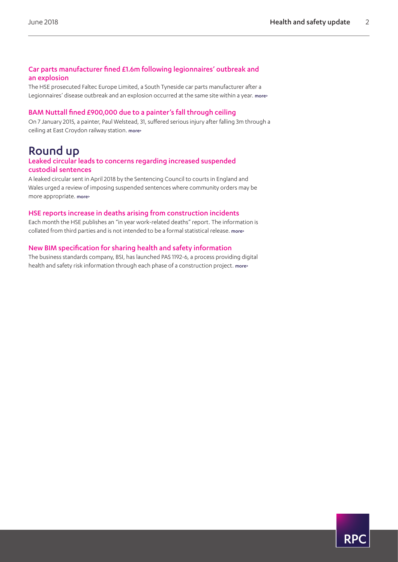# Car parts manufacturer fined £1.6m following legionnaires' outbreak and an explosion

The HSE prosecuted Faltec Europe Limited, a South Tyneside car parts manufacturer after a Legionnaires' disease outbreak and an explosion occurred at the same site within a year. more>

# BAM Nuttall fined £900,000 due to a painter's fall through ceiling

On 7 January 2015, a painter, Paul Welstead, 31, suffered serious injury after falling 3m through a ceiling at East Croydon railway station. more>

# Round up

### Leaked circular leads to concerns regarding increased suspended custodial sentences

A leaked circular sent in April 2018 by the Sentencing Council to courts in England and Wales urged a review of imposing suspended sentences where community orders may be more appropriate. more>

# HSE reports increase in deaths arising from construction incidents

Each month the HSE publishes an "in year work-related deaths" report. The information is collated from third parties and is not intended to be a formal statistical release. [more>](#page-8-0)

# New BIM specification for sharing health and safety information

The business standards company, BSI, has launched PAS 1192-6, a process providing digital health and safety risk information through each phase of a construction project. [more>](#page-9-0)

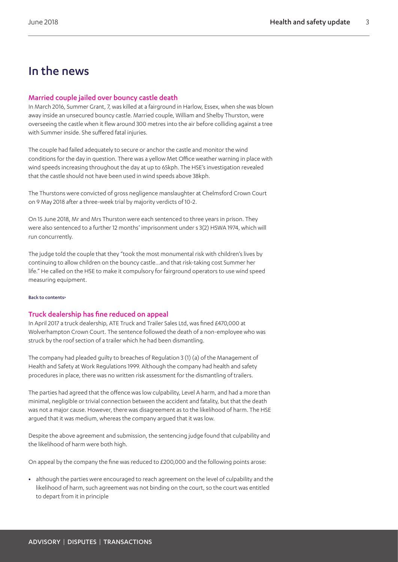# In the news

# <span id="page-2-0"></span>Married couple jailed over bouncy castle death

In March 2016, Summer Grant, 7, was killed at a fairground in Harlow, Essex, when she was blown away inside an unsecured bouncy castle. Married couple, William and Shelby Thurston, were overseeing the castle when it flew around 300 metres into the air before colliding against a tree with Summer inside. She suffered fatal injuries.

The couple had failed adequately to secure or anchor the castle and monitor the wind conditions for the day in question. There was a yellow Met Office weather warning in place with wind speeds increasing throughout the day at up to 65kph. The HSE's investigation revealed that the castle should not have been used in wind speeds above 38kph.

The Thurstons were convicted of gross negligence manslaughter at Chelmsford Crown Court on 9 May 2018 after a three-week trial by majority verdicts of 10-2.

On 15 June 2018, Mr and Mrs Thurston were each sentenced to three years in prison. They were also sentenced to a further 12 months' imprisonment under s 3(2) HSWA 1974, which will run concurrently.

The judge told the couple that they "took the most monumental risk with children's lives by continuing to allow children on the bouncy castle…and that risk-taking cost Summer her life." He called on the HSE to make it compulsory for fairground operators to use wind speed measuring equipment.

#### [Back to contents>](#page-0-0)

# <span id="page-2-1"></span>Truck dealership has fine reduced on appeal

In April 2017 a truck dealership, ATE Truck and Trailer Sales Ltd, was fined £470,000 at Wolverhampton Crown Court. The sentence followed the death of a non-employee who was struck by the roof section of a trailer which he had been dismantling.

The company had pleaded guilty to breaches of Regulation 3 (1) (a) of the Management of Health and Safety at Work Regulations 1999. Although the company had health and safety procedures in place, there was no written risk assessment for the dismantling of trailers.

The parties had agreed that the offence was low culpability, Level A harm, and had a more than minimal, negligible or trivial connection between the accident and fatality, but that the death was not a major cause. However, there was disagreement as to the likelihood of harm. The HSE argued that it was medium, whereas the company argued that it was low.

Despite the above agreement and submission, the sentencing judge found that culpability and the likelihood of harm were both high.

On appeal by the company the fine was reduced to £200,000 and the following points arose:

**•** although the parties were encouraged to reach agreement on the level of culpability and the likelihood of harm, such agreement was not binding on the court, so the court was entitled to depart from it in principle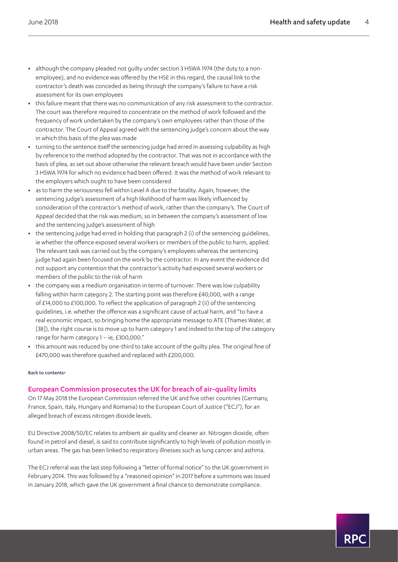- **•** although the company pleaded not guilty under section 3 HSWA 1974 (the duty to a nonemployee), and no evidence was offered by the HSE in this regard, the causal link to the contractor's death was conceded as being through the company's failure to have a risk assessment for its own employees
- **•** this failure meant that there was no communication of any risk assessment to the contractor. The court was therefore required to concentrate on the method of work followed and the frequency of work undertaken by the company's own employees rather than those of the contractor. The Court of Appeal agreed with the sentencing judge's concern about the way in which this basis of the plea was made
- **•** turning to the sentence itself the sentencing judge had erred in assessing culpability as high by reference to the method adopted by the contractor. That was not in accordance with the basis of plea, as set out above otherwise the relevant breach would have been under Section 3 HSWA 1974 for which no evidence had been offered. It was the method of work relevant to the employers which ought to have been considered
- **•** as to harm the seriousness fell within Level A due to the fatality. Again, however, the sentencing judge's assessment of a high likelihood of harm was likely influenced by consideration of the contractor's method of work, rather than the company's. The Court of Appeal decided that the risk was medium, so in between the company's assessment of low and the sentencing judge's assessment of high
- **•** the sentencing judge had erred in holding that paragraph 2 (i) of the sentencing guidelines, ie whether the offence exposed several workers or members of the public to harm, applied. The relevant task was carried out by the company's employees whereas the sentencing judge had again been focused on the work by the contractor. In any event the evidence did not support any contention that the contractor's activity had exposed several workers or members of the public to the risk of harm
- **•** the company was a medium organisation in terms of turnover. There was low culpability falling within harm category 2. The starting point was therefore £40,000, with a range of £14,000 to £100,000. To reflect the application of paragraph 2 (ii) of the sentencing guidelines, i.e. whether the offence was a significant cause of actual harm, and "to have a real economic impact, so bringing home the appropriate message to ATE (Thames Water, at [38]), the right course is to move up to harm category 1 and indeed to the top of the category range for harm category 1 – ie, £300,000."
- **•** this amount was reduced by one-third to take account of the guilty plea. The original fine of £470,000 was therefore quashed and replaced with £200,000.

#### [Back to contents>](#page-0-0)

#### <span id="page-3-0"></span>European Commission prosecutes the UK for breach of air-quality limits

On 17 May 2018 the European Commission referred the UK and five other countries (Germany, France, Spain, Italy, Hungary and Romania) to the European Court of Justice ("ECJ"), for an alleged breach of excess nitrogen dioxide levels.

EU Directive 2008/50/EC relates to ambient air quality and cleaner air. Nitrogen dioxide, often found in petrol and diesel, is said to contribute significantly to high levels of pollution mostly in urban areas. The gas has been linked to respiratory illnesses such as lung cancer and asthma.

The ECJ referral was the last step following a "letter of formal notice" to the UK government in February 2014. This was followed by a "reasoned opinion" in 2017 before a summons was issued in January 2018, which gave the UK government a final chance to demonstrate compliance.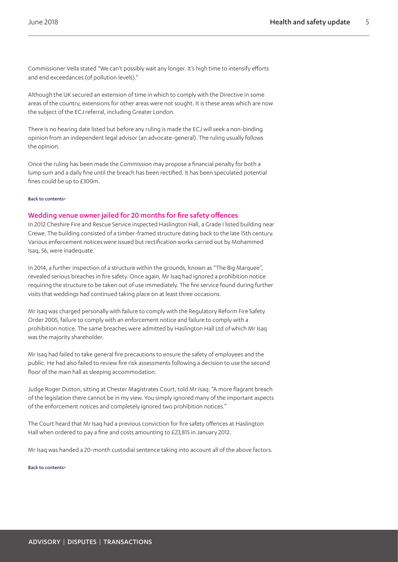Commissioner Vella stated "We can't possibly wait any longer. It's high time to intensify efforts and end exceedances (of pollution levels)."

Although the UK secured an extension of time in which to comply with the Directive in some areas of the country, extensions for other areas were not sought. It is these areas which are now the subject of the ECJ referral, including Greater London.

There is no hearing date listed but before any ruling is made the ECJ will seek a non-binding opinion from an independent legal advisor (an advocate-general). The ruling usually follows the opinion.

Once the ruling has been made the Commission may propose a financial penalty for both a lump sum and a daily fine until the breach has been rectified. It has been speculated potential fines could be up to £300m.

#### [Back to contents>](#page-0-0)

#### <span id="page-4-0"></span>Wedding venue owner jailed for 20 months for fire safety offences

In 2012 Cheshire Fire and Rescue Service inspected Haslington Hall, a Grade I listed building near Crewe. The building consisted of a timber-framed structure dating back to the late 15th century. Various enforcement notices were issued but rectification works carried out by Mohammed Isaq, 56, were inadequate.

In 2014, a further inspection of a structure within the grounds, known as "The Big Marquee", revealed serious breaches in fire safety. Once again, Mr Isaq had ignored a prohibition notice requiring the structure to be taken out of use immediately. The fire service found during further visits that weddings had continued taking place on at least three occasions.

Mr Isaq was charged personally with failure to comply with the Regulatory Reform Fire Safety Order 2005, failure to comply with an enforcement notice and failure to comply with a prohibition notice. The same breaches were admitted by Haslington Hall Ltd of which Mr Isaq was the majority shareholder.

Mr Isaq had failed to take general fire precautions to ensure the safety of employees and the public. He had also failed to review fire risk assessments following a decision to use the second floor of the main hall as sleeping accommodation.

Judge Roger Dutton, sitting at Chester Magistrates Court, told Mr Isaq: "A more flagrant breach of the legislation there cannot be in my view. You simply ignored many of the important aspects of the enforcement notices and completely ignored two prohibition notices."

The Court heard that Mr Isaq had a previous conviction for fire safety offences at Haslington Hall when ordered to pay a fine and costs amounting to £23,815 in January 2012.

Mr Isaq was handed a 20-month custodial sentence taking into account all of the above factors.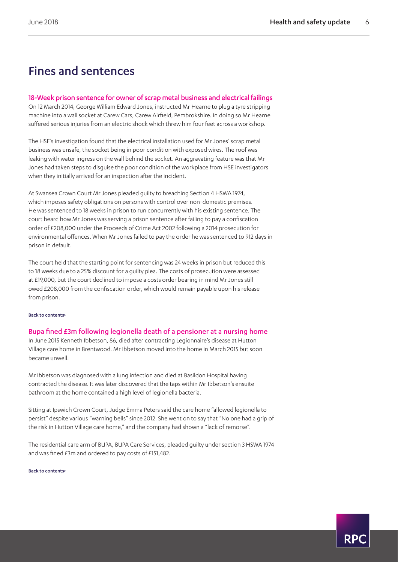# Fines and sentences

# <span id="page-5-0"></span>18-Week prison sentence for owner of scrap metal business and electrical failings

On 12 March 2014, George William Edward Jones, instructed Mr Hearne to plug a tyre stripping machine into a wall socket at Carew Cars, Carew Airfield, Pembrokshire. In doing so Mr Hearne suffered serious injuries from an electric shock which threw him four feet across a workshop.

The HSE's investigation found that the electrical installation used for Mr Jones' scrap metal business was unsafe, the socket being in poor condition with exposed wires. The roof was leaking with water ingress on the wall behind the socket. An aggravating feature was that Mr Jones had taken steps to disguise the poor condition of the workplace from HSE investigators when they initially arrived for an inspection after the incident.

At Swansea Crown Court Mr Jones pleaded guilty to breaching Section 4 HSWA 1974, which imposes safety obligations on persons with control over non-domestic premises. He was sentenced to 18 weeks in prison to run concurrently with his existing sentence. The court heard how Mr Jones was serving a prison sentence after failing to pay a confiscation order of £208,000 under the Proceeds of Crime Act 2002 following a 2014 prosecution for environmental offences. When Mr Jones failed to pay the order he was sentenced to 912 days in prison in default.

The court held that the starting point for sentencing was 24 weeks in prison but reduced this to 18 weeks due to a 25% discount for a guilty plea. The costs of prosecution were assessed at £19,000, but the court declined to impose a costs order bearing in mind Mr Jones still owed £208,000 from the confiscation order, which would remain payable upon his release from prison.

#### [Back to contents>](#page-0-0)

# Bupa fined £3m following legionella death of a pensioner at a nursing home

In June 2015 Kenneth Ibbetson, 86, died after contracting Legionnaire's disease at Hutton Village care home in Brentwood. Mr Ibbetson moved into the home in March 2015 but soon became unwell.

Mr Ibbetson was diagnosed with a lung infection and died at Basildon Hospital having contracted the disease. It was later discovered that the taps within Mr Ibbetson's ensuite bathroom at the home contained a high level of legionella bacteria.

Sitting at Ipswich Crown Court, Judge Emma Peters said the care home "allowed legionella to persist" despite various "warning bells" since 2012. She went on to say that "No one had a grip of the risk in Hutton Village care home," and the company had shown a "lack of remorse".

The residential care arm of BUPA, BUPA Care Services, pleaded guilty under section 3 HSWA 1974 and was fined £3m and ordered to pay costs of £151,482.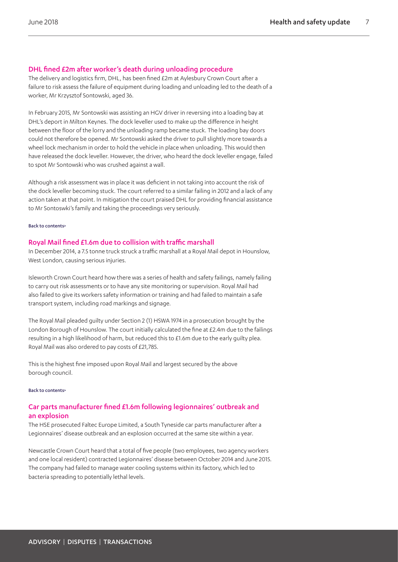# DHL fined £2m after worker's death during unloading procedure

The delivery and logistics firm, DHL, has been fined £2m at Aylesbury Crown Court after a failure to risk assess the failure of equipment during loading and unloading led to the death of a worker, Mr Krzysztof Sontowski, aged 36.

In February 2015, Mr Sontowski was assisting an HGV driver in reversing into a loading bay at DHL's deport in Milton Keynes. The dock leveller used to make up the difference in height between the floor of the lorry and the unloading ramp became stuck. The loading bay doors could not therefore be opened. Mr Sontowski asked the driver to pull slightly more towards a wheel lock mechanism in order to hold the vehicle in place when unloading. This would then have released the dock leveller. However, the driver, who heard the dock leveller engage, failed to spot Mr Sontowski who was crushed against a wall.

Although a risk assessment was in place it was deficient in not taking into account the risk of the dock leveller becoming stuck. The court referred to a similar failing in 2012 and a lack of any action taken at that point. In mitigation the court praised DHL for providing financial assistance to Mr Sontoswki's family and taking the proceedings very seriously.

#### [Back to contents>](#page-0-0)

### Royal Mail fined £1.6m due to collision with traffic marshall

In December 2014, a 7.5 tonne truck struck a traffic marshall at a Royal Mail depot in Hounslow, West London, causing serious injuries.

Isleworth Crown Court heard how there was a series of health and safety failings, namely failing to carry out risk assessments or to have any site monitoring or supervision. Royal Mail had also failed to give its workers safety information or training and had failed to maintain a safe transport system, including road markings and signage.

The Royal Mail pleaded guilty under Section 2 (1) HSWA 1974 in a prosecution brought by the London Borough of Hounslow. The court initially calculated the fine at £2.4m due to the failings resulting in a high likelihood of harm, but reduced this to £1.6m due to the early guilty plea. Royal Mail was also ordered to pay costs of £21,785.

This is the highest fine imposed upon Royal Mail and largest secured by the above borough council.

#### [Back to contents>](#page-0-0)

# Car parts manufacturer fined £1.6m following legionnaires' outbreak and an explosion

The HSE prosecuted Faltec Europe Limited, a South Tyneside car parts manufacturer after a Legionnaires' disease outbreak and an explosion occurred at the same site within a year.

Newcastle Crown Court heard that a total of five people (two employees, two agency workers and one local resident) contracted Legionnaires' disease between October 2014 and June 2015. The company had failed to manage water cooling systems within its factory, which led to bacteria spreading to potentially lethal levels.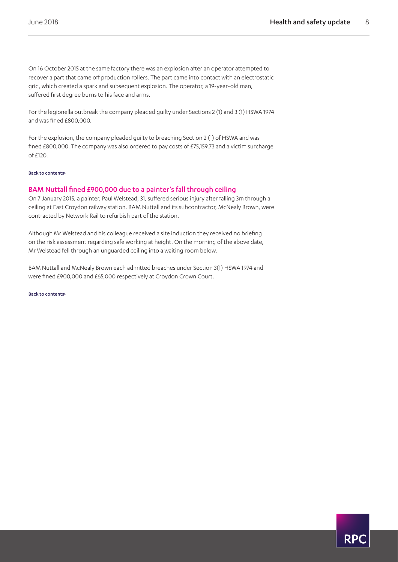On 16 October 2015 at the same factory there was an explosion after an operator attempted to recover a part that came off production rollers. The part came into contact with an electrostatic grid, which created a spark and subsequent explosion. The operator, a 19-year-old man, suffered first degree burns to his face and arms.

For the legionella outbreak the company pleaded guilty under Sections 2 (1) and 3 (1) HSWA 1974 and was fined £800,000.

For the explosion, the company pleaded guilty to breaching Section 2 (1) of HSWA and was fined £800,000. The company was also ordered to pay costs of £75,159.73 and a victim surcharge of £120.

#### [Back to contents>](#page-0-0)

### BAM Nuttall fined £900,000 due to a painter's fall through ceiling

On 7 January 2015, a painter, Paul Welstead, 31, suffered serious injury after falling 3m through a ceiling at East Croydon railway station. BAM Nuttall and its subcontractor, McNealy Brown, were contracted by Network Rail to refurbish part of the station.

Although Mr Welstead and his colleague received a site induction they received no briefing on the risk assessment regarding safe working at height. On the morning of the above date, Mr Welstead fell through an unguarded ceiling into a waiting room below.

BAM Nuttall and McNealy Brown each admitted breaches under Section 3(1) HSWA 1974 and were fined £900,000 and £65,000 respectively at Croydon Crown Court.

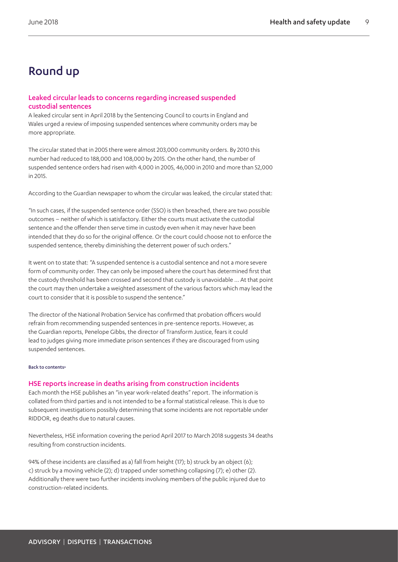# Round up

# Leaked circular leads to concerns regarding increased suspended custodial sentences

A leaked circular sent in April 2018 by the Sentencing Council to courts in England and Wales urged a review of imposing suspended sentences where community orders may be more appropriate.

The circular stated that in 2005 there were almost 203,000 community orders. By 2010 this number had reduced to 188,000 and 108,000 by 2015. On the other hand, the number of suspended sentence orders had risen with 4,000 in 2005, 46,000 in 2010 and more than 52,000 in 2015.

According to the Guardian newspaper to whom the circular was leaked, the circular stated that:

"In such cases, if the suspended sentence order (SSO) is then breached, there are two possible outcomes – neither of which is satisfactory. Either the courts must activate the custodial sentence and the offender then serve time in custody even when it may never have been intended that they do so for the original offence. Or the court could choose not to enforce the suspended sentence, thereby diminishing the deterrent power of such orders."

It went on to state that: "A suspended sentence is a custodial sentence and not a more severe form of community order. They can only be imposed where the court has determined first that the custody threshold has been crossed and second that custody is unavoidable ... At that point the court may then undertake a weighted assessment of the various factors which may lead the court to consider that it is possible to suspend the sentence."

The director of the National Probation Service has confirmed that probation officers would refrain from recommending suspended sentences in pre-sentence reports. However, as the Guardian reports, Penelope Gibbs, the director of Transform Justice, fears it could lead to judges giving more immediate prison sentences if they are discouraged from using suspended sentences.

#### [Back to contents>](#page-0-0)

#### <span id="page-8-0"></span>HSE reports increase in deaths arising from construction incidents

Each month the HSE publishes an "in year work-related deaths" report. The information is collated from third parties and is not intended to be a formal statistical release. This is due to subsequent investigations possibly determining that some incidents are not reportable under RIDDOR, eg deaths due to natural causes.

Nevertheless, HSE information covering the period April 2017 to March 2018 suggests 34 deaths resulting from construction incidents.

94% of these incidents are classified as a) fall from height (17); b) struck by an object (6); c) struck by a moving vehicle (2); d) trapped under something collapsing (7); e) other (2). Additionally there were two further incidents involving members of the public injured due to construction-related incidents.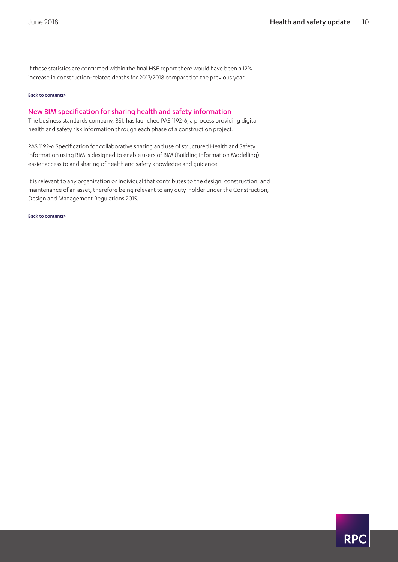If these statistics are confirmed within the final HSE report there would have been a 12% increase in construction-related deaths for 2017/2018 compared to the previous year.

#### [Back to contents>](#page-0-0)

### <span id="page-9-0"></span>New BIM specification for sharing health and safety information

The business standards company, BSI, has launched PAS 1192-6, a process providing digital health and safety risk information through each phase of a construction project.

PAS 1192-6 Specification for collaborative sharing and use of structured Health and Safety information using BIM is designed to enable users of BIM (Building Information Modelling) easier access to and sharing of health and safety knowledge and guidance.

It is relevant to any organization or individual that contributes to the design, construction, and maintenance of an asset, therefore being relevant to any duty-holder under the Construction, Design and Management Regulations 2015.